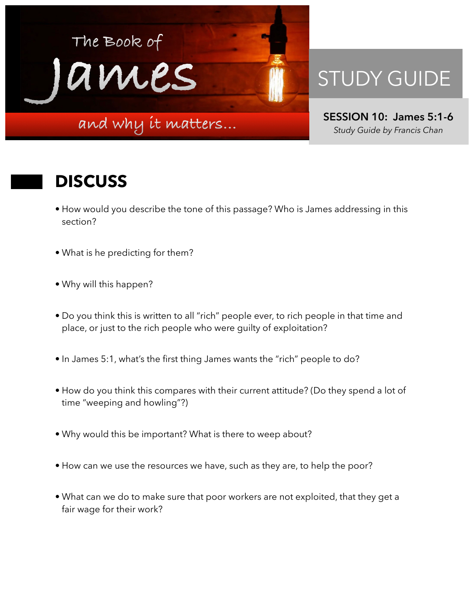

## STUDY GUIDE

**SESSION 10: James 5:1-6**  *Study Guide by Francis Chan*

## **DISCUSS**

- How would you describe the tone of this passage? Who is James addressing in this section?
- What is he predicting for them?
- Why will this happen?
- Do you think this is written to all "rich" people ever, to rich people in that time and place, or just to the rich people who were guilty of exploitation?
- In James 5:1, what's the first thing James wants the "rich" people to do?
- How do you think this compares with their current attitude? (Do they spend a lot of time "weeping and howling"?)
- Why would this be important? What is there to weep about?
- How can we use the resources we have, such as they are, to help the poor?
- What can we do to make sure that poor workers are not exploited, that they get a fair wage for their work?